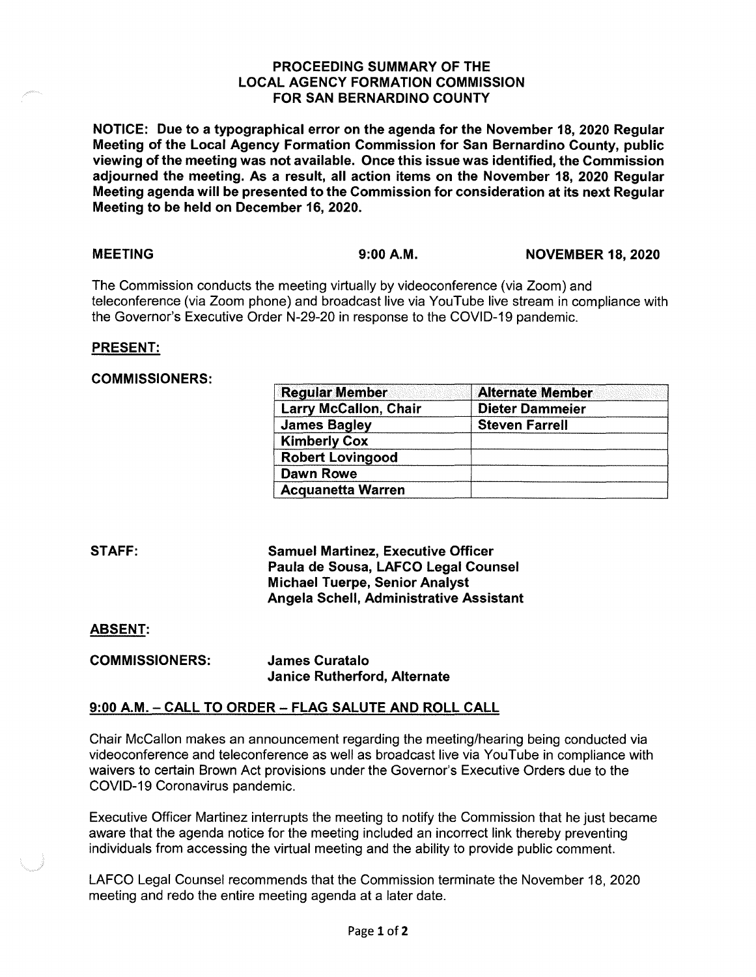### **PROCEEDING SUMMARY OF THE LOCAL AGENCY FORMATION COMMISSION FOR SAN BERNARDINO COUNTY**

**NOTICE: Due to a typographical error on the agenda for the November 18, 2020 Regular Meeting of the Local Agency Formation Commission for San Bernardino County, public viewing of the meeting was not available. Once this issue was identified, the Commission adjourned the meeting. As a result, all action items on the November 18, 2020 Regular Meeting agenda will be presented to the Commission for consideration at its next Regular Meeting to be held on December 16, 2020.** 

**MEETING 9:00 A.M. NOVEMBER 18, 2020** 

The Commission conducts the meeting virtually by videoconference (via Zoom) and teleconference (via Zoom phone) and broadcast live via YouTube live stream in compliance with the Governor's Executive Order N-29-20 in response to the COVID-19 pandemic.

#### **PRESENT:**

## **COMMISSIONERS:**

| <b>Regular Member</b>        | <b>Alternate Member</b> |
|------------------------------|-------------------------|
| <b>Larry McCallon, Chair</b> | <b>Dieter Dammeier</b>  |
| <b>James Bagley</b>          | <b>Steven Farrell</b>   |
| <b>Kimberly Cox</b>          |                         |
| <b>Robert Lovingood</b>      |                         |
| <b>Dawn Rowe</b>             |                         |
| <b>Acquanetta Warren</b>     |                         |

**STAFF:** 

**Samuel Martinez, Executive Officer Paula de Sousa, LAFCO Legal Counsel Michael Tuerpe, Senior Analyst Angela Schell, Administrative Assistant** 

# **ABSENT:**

**COMMISSIONERS: James Curatalo Janice Rutherford, Alternate** 

# **9:00 A.M.** - **CALL TO ORDER** - **FLAG SALUTE AND ROLL CALL**

Chair Mccallon makes an announcement regarding the meeting/hearing being conducted via videoconference and teleconference as well as broadcast live via YouTube in compliance with waivers to certain Brown Act provisions under the Governor's Executive Orders due to the COVID-19 Coronavirus pandemic.

Executive Officer Martinez interrupts the meeting to notify the Commission that he just became aware that the agenda notice for the meeting included an incorrect link thereby preventing individuals from accessing the virtual meeting and the ability to provide public comment.

LAFCO Legal Counsel recommends that the Commission terminate the November 18, 2020 meeting and redo the entire meeting agenda at a later date.